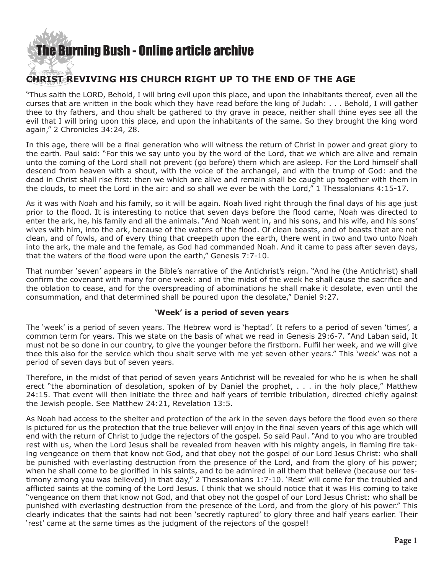### [The Burning Bush - Online article archive](http://www.ivanfoster.net)

#### **CHRIST REVIVING HIS CHURCH RIGHT UP TO THE END OF THE AGE**

"Thus saith the LORD, Behold, I will bring evil upon this place, and upon the inhabitants thereof, even all the curses that are written in the book which they have read before the king of Judah: . . . Behold, I will gather thee to thy fathers, and thou shalt be gathered to thy grave in peace, neither shall thine eyes see all the evil that I will bring upon this place, and upon the inhabitants of the same. So they brought the king word again," 2 Chronicles 34:24, 28.

In this age, there will be a final generation who will witness the return of Christ in power and great glory to the earth. Paul said: "For this we say unto you by the word of the Lord, that we which are alive and remain unto the coming of the Lord shall not prevent (go before) them which are asleep. For the Lord himself shall descend from heaven with a shout, with the voice of the archangel, and with the trump of God: and the dead in Christ shall rise first: then we which are alive and remain shall be caught up together with them in the clouds, to meet the Lord in the air: and so shall we ever be with the Lord," 1 Thessalonians 4:15-17.

As it was with Noah and his family, so it will be again. Noah lived right through the final days of his age just prior to the flood. It is interesting to notice that seven days before the flood came, Noah was directed to enter the ark, he, his family and all the animals. "And Noah went in, and his sons, and his wife, and his sons' wives with him, into the ark, because of the waters of the flood. Of clean beasts, and of beasts that are not clean, and of fowls, and of every thing that creepeth upon the earth, there went in two and two unto Noah into the ark, the male and the female, as God had commanded Noah. And it came to pass after seven days, that the waters of the flood were upon the earth," Genesis 7:7-10.

That number 'seven' appears in the Bible's narrative of the Antichrist's reign. "And he (the Antichrist) shall confirm the covenant with many for one week: and in the midst of the week he shall cause the sacrifice and the oblation to cease, and for the overspreading of abominations he shall make it desolate, even until the consummation, and that determined shall be poured upon the desolate," Daniel 9:27.

#### **'Week' is a period of seven years**

The 'week' is a period of seven years. The Hebrew word is 'heptad'. It refers to a period of seven 'times', a common term for years. This we state on the basis of what we read in Genesis 29:6-7. "And Laban said, It must not be so done in our country, to give the younger before the firstborn. Fulfil her week, and we will give thee this also for the service which thou shalt serve with me yet seven other years." This 'week' was not a period of seven days but of seven years.

Therefore, in the midst of that period of seven years Antichrist will be revealed for who he is when he shall erect "the abomination of desolation, spoken of by Daniel the prophet, . . . in the holy place," Matthew 24:15. That event will then initiate the three and half years of terrible tribulation, directed chiefly against the Jewish people. See Matthew 24:21, Revelation 13:5.

As Noah had access to the shelter and protection of the ark in the seven days before the flood even so there is pictured for us the protection that the true believer will enjoy in the final seven years of this age which will end with the return of Christ to judge the rejectors of the gospel. So said Paul. "And to you who are troubled rest with us, when the Lord Jesus shall be revealed from heaven with his mighty angels, in flaming fire taking vengeance on them that know not God, and that obey not the gospel of our Lord Jesus Christ: who shall be punished with everlasting destruction from the presence of the Lord, and from the glory of his power; when he shall come to be glorified in his saints, and to be admired in all them that believe (because our testimony among you was believed) in that day," 2 Thessalonians 1:7-10. 'Rest' will come for the troubled and afflicted saints at the coming of the Lord Jesus. I think that we should notice that it was His coming to take "vengeance on them that know not God, and that obey not the gospel of our Lord Jesus Christ: who shall be punished with everlasting destruction from the presence of the Lord, and from the glory of his power." This clearly indicates that the saints had not been 'secretly raptured' to glory three and half years earlier. Their 'rest' came at the same times as the judgment of the rejectors of the gospel!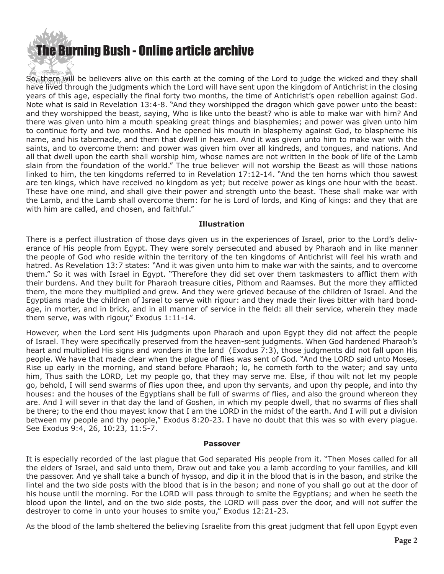## [The Bur](http://www.ivanfoster.net)ning Bush - Online article archive

So, there will be believers alive on this earth at the coming of the Lord to judge the wicked and they shall have lived through the judgments which the Lord will have sent upon the kingdom of Antichrist in the closing years of this age, especially the final forty two months, the time of Antichrist's open rebellion against God. Note what is said in Revelation 13:4-8. "And they worshipped the dragon which gave power unto the beast: and they worshipped the beast, saying, Who is like unto the beast? who is able to make war with him? And there was given unto him a mouth speaking great things and blasphemies; and power was given unto him to continue forty and two months. And he opened his mouth in blasphemy against God, to blaspheme his name, and his tabernacle, and them that dwell in heaven. And it was given unto him to make war with the saints, and to overcome them: and power was given him over all kindreds, and tongues, and nations. And all that dwell upon the earth shall worship him, whose names are not written in the book of life of the Lamb slain from the foundation of the world." The true believer will not worship the Beast as will those nations linked to him, the ten kingdoms referred to in Revelation 17:12-14. "And the ten horns which thou sawest are ten kings, which have received no kingdom as yet; but receive power as kings one hour with the beast. These have one mind, and shall give their power and strength unto the beast. These shall make war with the Lamb, and the Lamb shall overcome them: for he is Lord of lords, and King of kings: and they that are with him are called, and chosen, and faithful."

#### **Illustration**

There is a perfect illustration of those days given us in the experiences of Israel, prior to the Lord's deliverance of His people from Egypt. They were sorely persecuted and abused by Pharaoh and in like manner the people of God who reside within the territory of the ten kingdoms of Antichrist will feel his wrath and hatred. As Revelation 13:7 states: "And it was given unto him to make war with the saints, and to overcome them." So it was with Israel in Egypt. "Therefore they did set over them taskmasters to afflict them with their burdens. And they built for Pharaoh treasure cities, Pithom and Raamses. But the more they afflicted them, the more they multiplied and grew. And they were grieved because of the children of Israel. And the Egyptians made the children of Israel to serve with rigour: and they made their lives bitter with hard bondage, in morter, and in brick, and in all manner of service in the field: all their service, wherein they made them serve, was with rigour," Exodus 1:11-14.

However, when the Lord sent His judgments upon Pharaoh and upon Egypt they did not affect the people of Israel. They were specifically preserved from the heaven-sent judgments. When God hardened Pharaoh's heart and multiplied His signs and wonders in the land (Exodus 7:3), those judgments did not fall upon His people. We have that made clear when the plague of flies was sent of God. "And the LORD said unto Moses, Rise up early in the morning, and stand before Pharaoh; lo, he cometh forth to the water; and say unto him, Thus saith the LORD, Let my people go, that they may serve me. Else, if thou wilt not let my people go, behold, I will send swarms of flies upon thee, and upon thy servants, and upon thy people, and into thy houses: and the houses of the Egyptians shall be full of swarms of flies, and also the ground whereon they are. And I will sever in that day the land of Goshen, in which my people dwell, that no swarms of flies shall be there; to the end thou mayest know that I am the LORD in the midst of the earth. And I will put a division between my people and thy people," Exodus 8:20-23. I have no doubt that this was so with every plague. See Exodus 9:4, 26, 10:23, 11:5-7.

#### **Passover**

It is especially recorded of the last plague that God separated His people from it. "Then Moses called for all the elders of Israel, and said unto them, Draw out and take you a lamb according to your families, and kill the passover. And ye shall take a bunch of hyssop, and dip it in the blood that is in the bason, and strike the lintel and the two side posts with the blood that is in the bason; and none of you shall go out at the door of his house until the morning. For the LORD will pass through to smite the Egyptians; and when he seeth the blood upon the lintel, and on the two side posts, the LORD will pass over the door, and will not suffer the destroyer to come in unto your houses to smite you," Exodus 12:21-23.

As the blood of the lamb sheltered the believing Israelite from this great judgment that fell upon Egypt even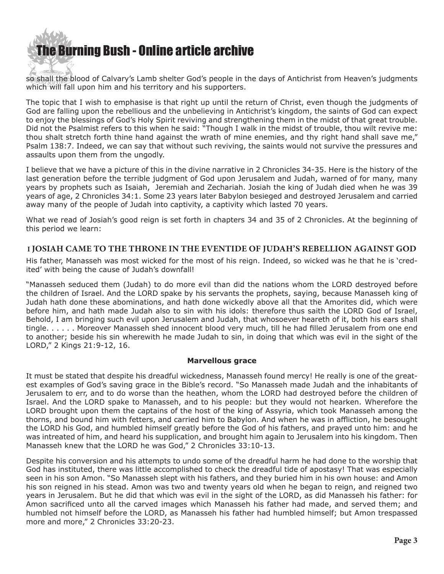

so shall the blood of Calvary's Lamb shelter God's people in the days of Antichrist from Heaven's judgments which will fall upon him and his territory and his supporters.

The topic that I wish to emphasise is that right up until the return of Christ, even though the judgments of God are falling upon the rebellious and the unbelieving in Antichrist's kingdom, the saints of God can expect to enjoy the blessings of God's Holy Spirit reviving and strengthening them in the midst of that great trouble. Did not the Psalmist refers to this when he said: "Though I walk in the midst of trouble, thou wilt revive me: thou shalt stretch forth thine hand against the wrath of mine enemies, and thy right hand shall save me," Psalm 138:7. Indeed, we can say that without such reviving, the saints would not survive the pressures and assaults upon them from the ungodly.

I believe that we have a picture of this in the divine narrative in 2 Chronicles 34-35. Here is the history of the last generation before the terrible judgment of God upon Jerusalem and Judah, warned of for many, many years by prophets such as Isaiah, Jeremiah and Zechariah. Josiah the king of Judah died when he was 39 years of age, 2 Chronicles 34:1. Some 23 years later Babylon besieged and destroyed Jerusalem and carried away many of the people of Judah into captivity, a captivity which lasted 70 years.

What we read of Josiah's good reign is set forth in chapters 34 and 35 of 2 Chronicles. At the beginning of this period we learn:

#### **I JOSIAH CAME TO THE THRONE IN THE EVENTIDE OF JUDAH'S REBELLION AGAINST GOD**

His father, Manasseh was most wicked for the most of his reign. Indeed, so wicked was he that he is 'credited' with being the cause of Judah's downfall!

"Manasseh seduced them (Judah) to do more evil than did the nations whom the LORD destroyed before the children of Israel. And the LORD spake by his servants the prophets, saying, because Manasseh king of Judah hath done these abominations, and hath done wickedly above all that the Amorites did, which were before him, and hath made Judah also to sin with his idols: therefore thus saith the LORD God of Israel, Behold, I am bringing such evil upon Jerusalem and Judah, that whosoever heareth of it, both his ears shall tingle. . . . . . Moreover Manasseh shed innocent blood very much, till he had filled Jerusalem from one end to another; beside his sin wherewith he made Judah to sin, in doing that which was evil in the sight of the LORD," 2 Kings 21:9-12, 16.

#### **Marvellous grace**

It must be stated that despite his dreadful wickedness, Manasseh found mercy! He really is one of the greatest examples of God's saving grace in the Bible's record. "So Manasseh made Judah and the inhabitants of Jerusalem to err, and to do worse than the heathen, whom the LORD had destroyed before the children of Israel. And the LORD spake to Manasseh, and to his people: but they would not hearken. Wherefore the LORD brought upon them the captains of the host of the king of Assyria, which took Manasseh among the thorns, and bound him with fetters, and carried him to Babylon. And when he was in affliction, he besought the LORD his God, and humbled himself greatly before the God of his fathers, and prayed unto him: and he was intreated of him, and heard his supplication, and brought him again to Jerusalem into his kingdom. Then Manasseh knew that the LORD he was God," 2 Chronicles 33:10-13.

Despite his conversion and his attempts to undo some of the dreadful harm he had done to the worship that God has instituted, there was little accomplished to check the dreadful tide of apostasy! That was especially seen in his son Amon. "So Manasseh slept with his fathers, and they buried him in his own house: and Amon his son reigned in his stead. Amon was two and twenty years old when he began to reign, and reigned two years in Jerusalem. But he did that which was evil in the sight of the LORD, as did Manasseh his father: for Amon sacrificed unto all the carved images which Manasseh his father had made, and served them; and humbled not himself before the LORD, as Manasseh his father had humbled himself; but Amon trespassed more and more," 2 Chronicles 33:20-23.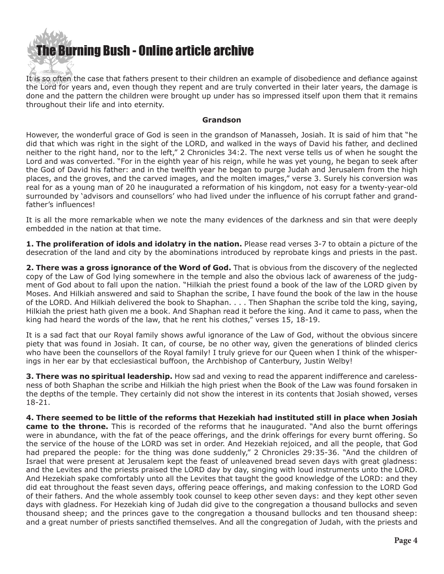# **he Burning Bush - Online article archive**

It is so often the case that fathers present to their children an example of disobedience and defiance against the Lord for years and, even though they repent and are truly converted in their later years, the damage is done and the pattern the children were brought up under has so impressed itself upon them that it remains throughout their life and into eternity.

#### **Grandson**

However, the wonderful grace of God is seen in the grandson of Manasseh, Josiah. It is said of him that "he did that which was right in the sight of the LORD, and walked in the ways of David his father, and declined neither to the right hand, nor to the left," 2 Chronicles 34:2. The next verse tells us of when he sought the Lord and was converted. "For in the eighth year of his reign, while he was yet young, he began to seek after the God of David his father: and in the twelfth year he began to purge Judah and Jerusalem from the high places, and the groves, and the carved images, and the molten images," verse 3. Surely his conversion was real for as a young man of 20 he inaugurated a reformation of his kingdom, not easy for a twenty-year-old surrounded by 'advisors and counsellors' who had lived under the influence of his corrupt father and grandfather's influences!

It is all the more remarkable when we note the many evidences of the darkness and sin that were deeply embedded in the nation at that time.

**1. The proliferation of idols and idolatry in the nation.** Please read verses 3-7 to obtain a picture of the desecration of the land and city by the abominations introduced by reprobate kings and priests in the past.

**2. There was a gross ignorance of the Word of God.** That is obvious from the discovery of the neglected copy of the Law of God lying somewhere in the temple and also the obvious lack of awareness of the judgment of God about to fall upon the nation. "Hilkiah the priest found a book of the law of the LORD given by Moses. And Hilkiah answered and said to Shaphan the scribe, I have found the book of the law in the house of the LORD. And Hilkiah delivered the book to Shaphan. . . . Then Shaphan the scribe told the king, saying, Hilkiah the priest hath given me a book. And Shaphan read it before the king. And it came to pass, when the king had heard the words of the law, that he rent his clothes," verses 15, 18-19.

It is a sad fact that our Royal family shows awful ignorance of the Law of God, without the obvious sincere piety that was found in Josiah. It can, of course, be no other way, given the generations of blinded clerics who have been the counsellors of the Royal family! I truly grieve for our Queen when I think of the whisperings in her ear by that ecclesiastical buffoon, the Archbishop of Canterbury, Justin Welby!

**3. There was no spiritual leadership.** How sad and vexing to read the apparent indifference and carelessness of both Shaphan the scribe and Hilkiah the high priest when the Book of the Law was found forsaken in the depths of the temple. They certainly did not show the interest in its contents that Josiah showed, verses 18-21.

**4. There seemed to be little of the reforms that Hezekiah had instituted still in place when Josiah came to the throne.** This is recorded of the reforms that he inaugurated. "And also the burnt offerings were in abundance, with the fat of the peace offerings, and the drink offerings for every burnt offering. So the service of the house of the LORD was set in order. And Hezekiah rejoiced, and all the people, that God had prepared the people: for the thing was done suddenly," 2 Chronicles 29:35-36. "And the children of Israel that were present at Jerusalem kept the feast of unleavened bread seven days with great gladness: and the Levites and the priests praised the LORD day by day, singing with loud instruments unto the LORD. And Hezekiah spake comfortably unto all the Levites that taught the good knowledge of the LORD: and they did eat throughout the feast seven days, offering peace offerings, and making confession to the LORD God of their fathers. And the whole assembly took counsel to keep other seven days: and they kept other seven days with gladness. For Hezekiah king of Judah did give to the congregation a thousand bullocks and seven thousand sheep; and the princes gave to the congregation a thousand bullocks and ten thousand sheep: and a great number of priests sanctified themselves. And all the congregation of Judah, with the priests and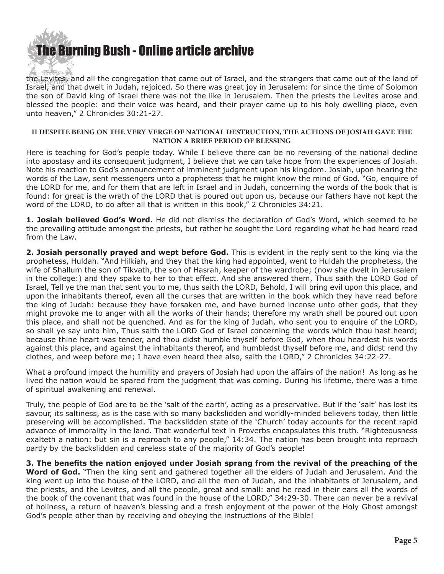

the Levites, and all the congregation that came out of Israel, and the strangers that came out of the land of Israel, and that dwelt in Judah, rejoiced. So there was great joy in Jerusalem: for since the time of Solomon the son of David king of Israel there was not the like in Jerusalem. Then the priests the Levites arose and blessed the people: and their voice was heard, and their prayer came up to his holy dwelling place, even unto heaven," 2 Chronicles 30:21-27.

#### **II DESPITE BEING ON THE VERY VERGE OF NATIONAL DESTRUCTION, THE ACTIONS OF JOSIAH GAVE THE NATION A BRIEF PERIOD OF BLESSING**

Here is teaching for God's people today. While I believe there can be no reversing of the national decline into apostasy and its consequent judgment, I believe that we can take hope from the experiences of Josiah. Note his reaction to God's announcement of imminent judgment upon his kingdom. Josiah, upon hearing the words of the Law, sent messengers unto a prophetess that he might know the mind of God. "Go, enquire of the LORD for me, and for them that are left in Israel and in Judah, concerning the words of the book that is found: for great is the wrath of the LORD that is poured out upon us, because our fathers have not kept the word of the LORD, to do after all that is written in this book," 2 Chronicles 34:21.

**1. Josiah believed God's Word.** He did not dismiss the declaration of God's Word, which seemed to be the prevailing attitude amongst the priests, but rather he sought the Lord regarding what he had heard read from the Law.

**2. Josiah personally prayed and wept before God.** This is evident in the reply sent to the king via the prophetess, Huldah. "And Hilkiah, and they that the king had appointed, went to Huldah the prophetess, the wife of Shallum the son of Tikvath, the son of Hasrah, keeper of the wardrobe; (now she dwelt in Jerusalem in the college:) and they spake to her to that effect. And she answered them, Thus saith the LORD God of Israel, Tell ye the man that sent you to me, thus saith the LORD, Behold, I will bring evil upon this place, and upon the inhabitants thereof, even all the curses that are written in the book which they have read before the king of Judah: because they have forsaken me, and have burned incense unto other gods, that they might provoke me to anger with all the works of their hands; therefore my wrath shall be poured out upon this place, and shall not be quenched. And as for the king of Judah, who sent you to enquire of the LORD, so shall ye say unto him, Thus saith the LORD God of Israel concerning the words which thou hast heard; because thine heart was tender, and thou didst humble thyself before God, when thou heardest his words against this place, and against the inhabitants thereof, and humbledst thyself before me, and didst rend thy clothes, and weep before me; I have even heard thee also, saith the LORD," 2 Chronicles 34:22-27.

What a profound impact the humility and prayers of Josiah had upon the affairs of the nation! As long as he lived the nation would be spared from the judgment that was coming. During his lifetime, there was a time of spiritual awakening and renewal.

Truly, the people of God are to be the 'salt of the earth', acting as a preservative. But if the 'salt' has lost its savour, its saltiness, as is the case with so many backslidden and worldly-minded believers today, then little preserving will be accomplished. The backslidden state of the 'Church' today accounts for the recent rapid advance of immorality in the land. That wonderful text in Proverbs encapsulates this truth. "Righteousness exalteth a nation: but sin is a reproach to any people," 14:34. The nation has been brought into reproach partly by the backslidden and careless state of the majority of God's people!

**3. The benefits the nation enjoyed under Josiah sprang from the revival of the preaching of the Word of God.** "Then the king sent and gathered together all the elders of Judah and Jerusalem. And the king went up into the house of the LORD, and all the men of Judah, and the inhabitants of Jerusalem, and the priests, and the Levites, and all the people, great and small: and he read in their ears all the words of the book of the covenant that was found in the house of the LORD," 34:29-30. There can never be a revival of holiness, a return of heaven's blessing and a fresh enjoyment of the power of the Holy Ghost amongst God's people other than by receiving and obeying the instructions of the Bible!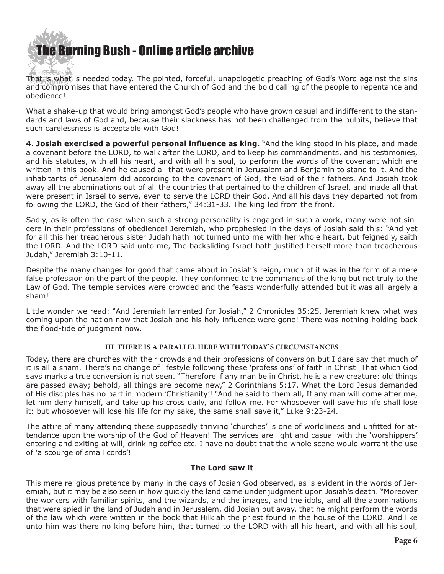

That is what is needed today. The pointed, forceful, unapologetic preaching of God's Word against the sins and compromises that have entered the Church of God and the bold calling of the people to repentance and obedience!

What a shake-up that would bring amongst God's people who have grown casual and indifferent to the standards and laws of God and, because their slackness has not been challenged from the pulpits, believe that such carelessness is acceptable with God!

**4. Josiah exercised a powerful personal influence as king.** "And the king stood in his place, and made a covenant before the LORD, to walk after the LORD, and to keep his commandments, and his testimonies, and his statutes, with all his heart, and with all his soul, to perform the words of the covenant which are written in this book. And he caused all that were present in Jerusalem and Benjamin to stand to it. And the inhabitants of Jerusalem did according to the covenant of God, the God of their fathers. And Josiah took away all the abominations out of all the countries that pertained to the children of Israel, and made all that were present in Israel to serve, even to serve the LORD their God. And all his days they departed not from following the LORD, the God of their fathers," 34:31-33. The king led from the front.

Sadly, as is often the case when such a strong personality is engaged in such a work, many were not sincere in their professions of obedience! Jeremiah, who prophesied in the days of Josiah said this: "And yet for all this her treacherous sister Judah hath not turned unto me with her whole heart, but feignedly, saith the LORD. And the LORD said unto me, The backsliding Israel hath justified herself more than treacherous Judah," Jeremiah 3:10-11.

Despite the many changes for good that came about in Josiah's reign, much of it was in the form of a mere false profession on the part of the people. They conformed to the commands of the king but not truly to the Law of God. The temple services were crowded and the feasts wonderfully attended but it was all largely a sham!

Little wonder we read: "And Jeremiah lamented for Josiah," 2 Chronicles 35:25. Jeremiah knew what was coming upon the nation now that Josiah and his holy influence were gone! There was nothing holding back the flood-tide of judgment now.

#### **III THERE IS A PARALLEL HERE WITH TODAY'S CIRCUMSTANCES**

Today, there are churches with their crowds and their professions of conversion but I dare say that much of it is all a sham. There's no change of lifestyle following these 'professions' of faith in Christ! That which God says marks a true conversion is not seen. "Therefore if any man be in Christ, he is a new creature: old things are passed away; behold, all things are become new," 2 Corinthians 5:17. What the Lord Jesus demanded of His disciples has no part in modern 'Christianity'! "And he said to them all, If any man will come after me, let him deny himself, and take up his cross daily, and follow me. For whosoever will save his life shall lose it: but whosoever will lose his life for my sake, the same shall save it," Luke 9:23-24.

The attire of many attending these supposedly thriving 'churches' is one of worldliness and unfitted for attendance upon the worship of the God of Heaven! The services are light and casual with the 'worshippers' entering and exiting at will, drinking coffee etc. I have no doubt that the whole scene would warrant the use of 'a scourge of small cords'!

#### **The Lord saw it**

This mere religious pretence by many in the days of Josiah God observed, as is evident in the words of Jeremiah, but it may be also seen in how quickly the land came under judgment upon Josiah's death. "Moreover the workers with familiar spirits, and the wizards, and the images, and the idols, and all the abominations that were spied in the land of Judah and in Jerusalem, did Josiah put away, that he might perform the words of the law which were written in the book that Hilkiah the priest found in the house of the LORD. And like unto him was there no king before him, that turned to the LORD with all his heart, and with all his soul,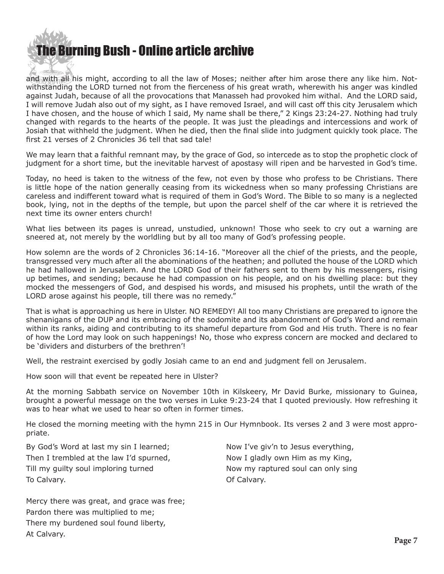## [The Bur](http://www.ivanfoster.net)ning Bush - Online article archive

and with all his might, according to all the law of Moses; neither after him arose there any like him. Notwithstanding the LORD turned not from the fierceness of his great wrath, wherewith his anger was kindled against Judah, because of all the provocations that Manasseh had provoked him withal. And the LORD said, I will remove Judah also out of my sight, as I have removed Israel, and will cast off this city Jerusalem which I have chosen, and the house of which I said, My name shall be there," 2 Kings 23:24-27. Nothing had truly changed with regards to the hearts of the people. It was just the pleadings and intercessions and work of Josiah that withheld the judgment. When he died, then the final slide into judgment quickly took place. The first 21 verses of 2 Chronicles 36 tell that sad tale!

We may learn that a faithful remnant may, by the grace of God, so intercede as to stop the prophetic clock of judgment for a short time, but the inevitable harvest of apostasy will ripen and be harvested in God's time.

Today, no heed is taken to the witness of the few, not even by those who profess to be Christians. There is little hope of the nation generally ceasing from its wickedness when so many professing Christians are careless and indifferent toward what is required of them in God's Word. The Bible to so many is a neglected book, lying, not in the depths of the temple, but upon the parcel shelf of the car where it is retrieved the next time its owner enters church!

What lies between its pages is unread, unstudied, unknown! Those who seek to cry out a warning are sneered at, not merely by the worldling but by all too many of God's professing people.

How solemn are the words of 2 Chronicles 36:14-16. "Moreover all the chief of the priests, and the people, transgressed very much after all the abominations of the heathen; and polluted the house of the LORD which he had hallowed in Jerusalem. And the LORD God of their fathers sent to them by his messengers, rising up betimes, and sending; because he had compassion on his people, and on his dwelling place: but they mocked the messengers of God, and despised his words, and misused his prophets, until the wrath of the LORD arose against his people, till there was no remedy."

That is what is approaching us here in Ulster. NO REMEDY! All too many Christians are prepared to ignore the shenanigans of the DUP and its embracing of the sodomite and its abandonment of God's Word and remain within its ranks, aiding and contributing to its shameful departure from God and His truth. There is no fear of how the Lord may look on such happenings! No, those who express concern are mocked and declared to be 'dividers and disturbers of the brethren'!

Well, the restraint exercised by godly Josiah came to an end and judgment fell on Jerusalem.

How soon will that event be repeated here in Ulster?

At the morning Sabbath service on November 10th in Kilskeery, Mr David Burke, missionary to Guinea, brought a powerful message on the two verses in Luke 9:23-24 that I quoted previously. How refreshing it was to hear what we used to hear so often in former times.

He closed the morning meeting with the hymn 215 in Our Hymnbook. Its verses 2 and 3 were most appropriate.

By God's Word at last my sin I learned; Then I trembled at the law I'd spurned, Till my guilty soul imploring turned To Calvary.

Now I've giv'n to Jesus everything, Now I gladly own Him as my King, Now my raptured soul can only sing Of Calvary.

Mercy there was great, and grace was free; Pardon there was multiplied to me; There my burdened soul found liberty, At Calvary.